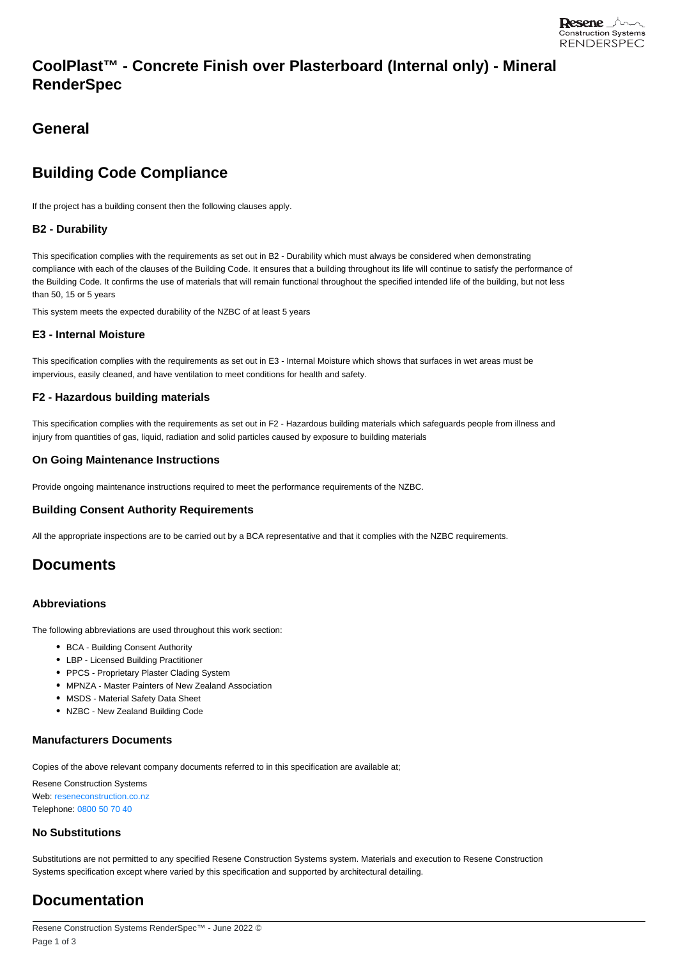## **CoolPlast™ - Concrete Finish over Plasterboard (Internal only) - Mineral RenderSpec**

## **General**

# **Building Code Compliance**

If the project has a building consent then the following clauses apply.

### **B2 - Durability**

This specification complies with the requirements as set out in B2 - Durability which must always be considered when demonstrating compliance with each of the clauses of the Building Code. It ensures that a building throughout its life will continue to satisfy the performance of the Building Code. It confirms the use of materials that will remain functional throughout the specified intended life of the building, but not less than 50, 15 or 5 years

This system meets the expected durability of the NZBC of at least 5 years

#### **E3 - Internal Moisture**

This specification complies with the requirements as set out in E3 - Internal Moisture which shows that surfaces in wet areas must be impervious, easily cleaned, and have ventilation to meet conditions for health and safety.

#### **F2 - Hazardous building materials**

This specification complies with the requirements as set out in F2 - Hazardous building materials which safeguards people from illness and injury from quantities of gas, liquid, radiation and solid particles caused by exposure to building materials

#### **On Going Maintenance Instructions**

Provide ongoing maintenance instructions required to meet the performance requirements of the NZBC.

#### **Building Consent Authority Requirements**

All the appropriate inspections are to be carried out by a BCA representative and that it complies with the NZBC requirements.

## **Documents**

#### **Abbreviations**

The following abbreviations are used throughout this work section:

- BCA Building Consent Authority
- LBP Licensed Building Practitioner
- PPCS Proprietary Plaster Clading System
- MPNZA Master Painters of New Zealand Association
- MSDS Material Safety Data Sheet
- NZBC New Zealand Building Code

### **Manufacturers Documents**

Copies of the above relevant company documents referred to in this specification are available at;

Resene Construction Systems Web: [reseneconstruction.co.nz](https://reseneconstruction.co.nz) Telephone: [0800 50 70 40](tel:0800 50 70 40)

#### **No Substitutions**

Substitutions are not permitted to any specified Resene Construction Systems system. Materials and execution to Resene Construction Systems specification except where varied by this specification and supported by architectural detailing.

## **Documentation**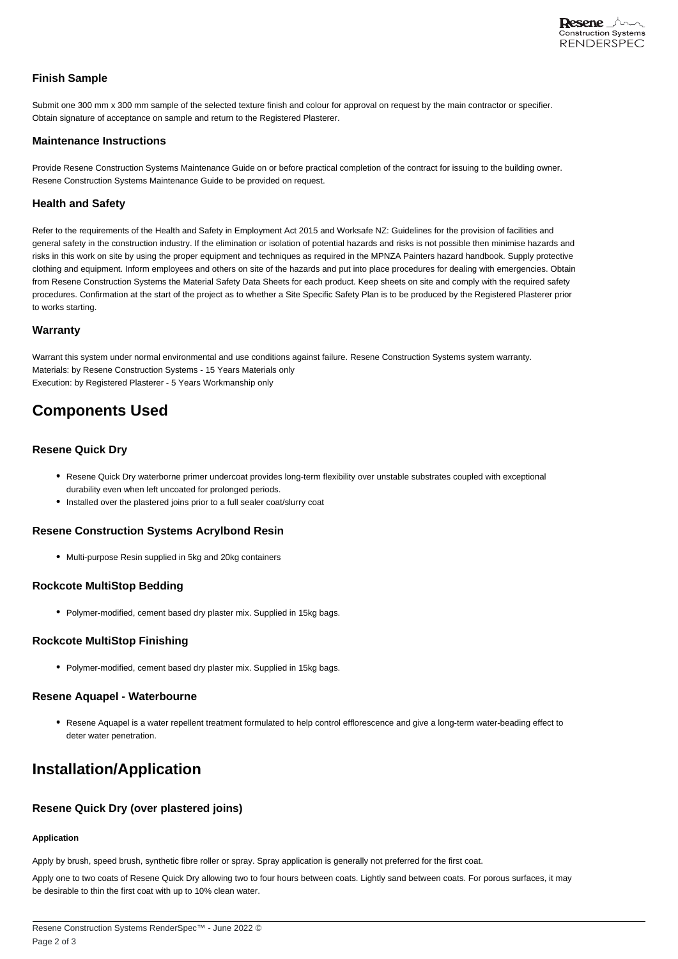### **Finish Sample**

Submit one 300 mm x 300 mm sample of the selected texture finish and colour for approval on request by the main contractor or specifier. Obtain signature of acceptance on sample and return to the Registered Plasterer.

#### **Maintenance Instructions**

Provide Resene Construction Systems Maintenance Guide on or before practical completion of the contract for issuing to the building owner. Resene Construction Systems Maintenance Guide to be provided on request.

### **Health and Safety**

Refer to the requirements of the Health and Safety in Employment Act 2015 and Worksafe NZ: Guidelines for the provision of facilities and general safety in the construction industry. If the elimination or isolation of potential hazards and risks is not possible then minimise hazards and risks in this work on site by using the proper equipment and techniques as required in the MPNZA Painters hazard handbook. Supply protective clothing and equipment. Inform employees and others on site of the hazards and put into place procedures for dealing with emergencies. Obtain from Resene Construction Systems the Material Safety Data Sheets for each product. Keep sheets on site and comply with the required safety procedures. Confirmation at the start of the project as to whether a Site Specific Safety Plan is to be produced by the Registered Plasterer prior to works starting.

#### **Warranty**

Warrant this system under normal environmental and use conditions against failure. Resene Construction Systems system warranty. Materials: by Resene Construction Systems - 15 Years Materials only Execution: by Registered Plasterer - 5 Years Workmanship only

## **Components Used**

#### **Resene Quick Dry**

- Resene Quick Dry waterborne primer undercoat provides long-term flexibility over unstable substrates coupled with exceptional durability even when left uncoated for prolonged periods.
- Installed over the plastered joins prior to a full sealer coat/slurry coat

#### **Resene Construction Systems Acrylbond Resin**

Multi-purpose Resin supplied in 5kg and 20kg containers

#### **Rockcote MultiStop Bedding**

• Polymer-modified, cement based dry plaster mix. Supplied in 15kg bags.

#### **Rockcote MultiStop Finishing**

• Polymer-modified, cement based dry plaster mix. Supplied in 15kg bags.

#### **Resene Aquapel - Waterbourne**

Resene Aquapel is a water repellent treatment formulated to help control efflorescence and give a long-term water-beading effect to deter water penetration.

## **Installation/Application**

## **Resene Quick Dry (over plastered joins)**

## **Application**

Apply by brush, speed brush, synthetic fibre roller or spray. Spray application is generally not preferred for the first coat.

Apply one to two coats of Resene Quick Dry allowing two to four hours between coats. Lightly sand between coats. For porous surfaces, it may be desirable to thin the first coat with up to 10% clean water.